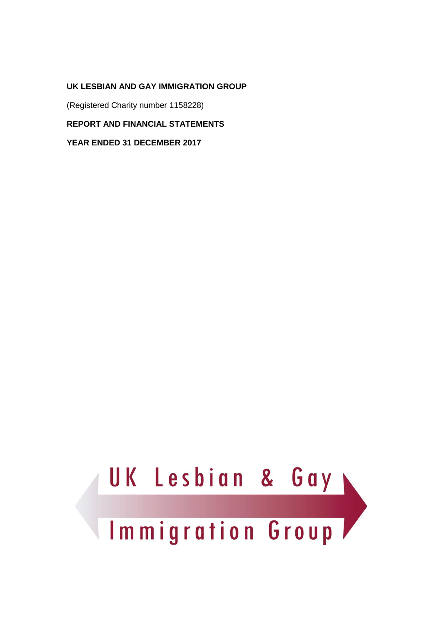(Registered Charity number 1158228)

**REPORT AND FINANCIAL STATEMENTS**

**YEAR ENDED 31 DECEMBER 2017**

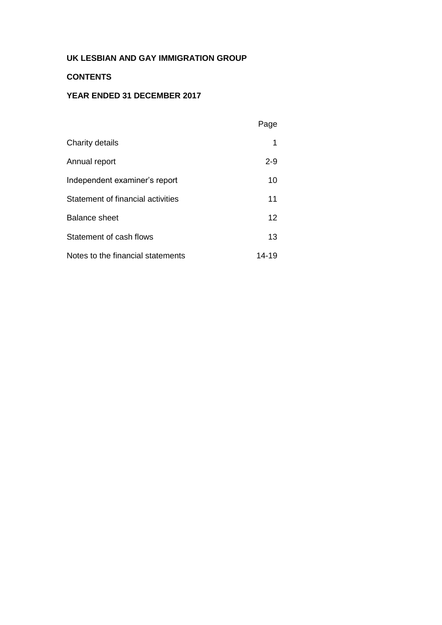## **CONTENTS**

## **YEAR ENDED 31 DECEMBER 2017**

|                                   | Page    |
|-----------------------------------|---------|
| Charity details                   | 1       |
| Annual report                     | $2 - 9$ |
| Independent examiner's report     | 10      |
| Statement of financial activities | 11      |
| <b>Balance sheet</b>              | 12      |
| Statement of cash flows           | 13      |
| Notes to the financial statements | 14-19   |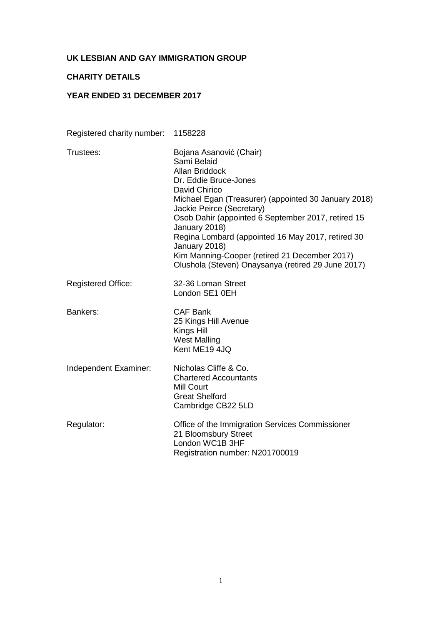## **CHARITY DETAILS**

## **YEAR ENDED 31 DECEMBER 2017**

Registered charity number: 1158228

| Trustees:                 | Bojana Asanović (Chair)<br>Sami Belaid<br><b>Allan Briddock</b><br>Dr. Eddie Bruce-Jones<br>David Chirico<br>Michael Egan (Treasurer) (appointed 30 January 2018)<br>Jackie Peirce (Secretary)<br>Osob Dahir (appointed 6 September 2017, retired 15<br>January 2018)<br>Regina Lombard (appointed 16 May 2017, retired 30<br>January 2018)<br>Kim Manning-Cooper (retired 21 December 2017)<br>Olushola (Steven) Onaysanya (retired 29 June 2017) |
|---------------------------|----------------------------------------------------------------------------------------------------------------------------------------------------------------------------------------------------------------------------------------------------------------------------------------------------------------------------------------------------------------------------------------------------------------------------------------------------|
| <b>Registered Office:</b> | 32-36 Loman Street<br>London SE1 0EH                                                                                                                                                                                                                                                                                                                                                                                                               |
| Bankers:                  | <b>CAF Bank</b><br>25 Kings Hill Avenue<br>Kings Hill<br><b>West Malling</b><br>Kent ME19 4JQ                                                                                                                                                                                                                                                                                                                                                      |
| Independent Examiner:     | Nicholas Cliffe & Co.<br><b>Chartered Accountants</b><br><b>Mill Court</b><br><b>Great Shelford</b><br>Cambridge CB22 5LD                                                                                                                                                                                                                                                                                                                          |
| Regulator:                | Office of the Immigration Services Commissioner<br>21 Bloomsbury Street<br>London WC1B 3HF<br>Registration number: N201700019                                                                                                                                                                                                                                                                                                                      |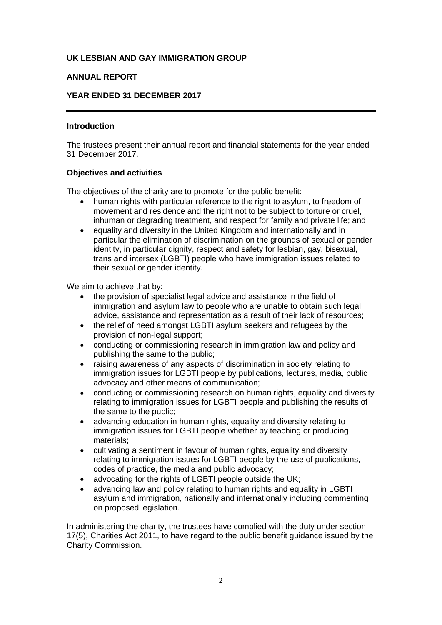## **ANNUAL REPORT**

## **YEAR ENDED 31 DECEMBER 2017**

### **Introduction**

The trustees present their annual report and financial statements for the year ended 31 December 2017.

#### **Objectives and activities**

The objectives of the charity are to promote for the public benefit:

- human rights with particular reference to the right to asylum, to freedom of movement and residence and the right not to be subject to torture or cruel, inhuman or degrading treatment, and respect for family and private life; and
- equality and diversity in the United Kingdom and internationally and in particular the elimination of discrimination on the grounds of sexual or gender identity, in particular dignity, respect and safety for lesbian, gay, bisexual, trans and intersex (LGBTI) people who have immigration issues related to their sexual or gender identity.

We aim to achieve that by:

- the provision of specialist legal advice and assistance in the field of immigration and asylum law to people who are unable to obtain such legal advice, assistance and representation as a result of their lack of resources;
- the relief of need amongst LGBTI asylum seekers and refugees by the provision of non-legal support;
- conducting or commissioning research in immigration law and policy and publishing the same to the public;
- raising awareness of any aspects of discrimination in society relating to immigration issues for LGBTI people by publications, lectures, media, public advocacy and other means of communication;
- conducting or commissioning research on human rights, equality and diversity relating to immigration issues for LGBTI people and publishing the results of the same to the public;
- advancing education in human rights, equality and diversity relating to immigration issues for LGBTI people whether by teaching or producing materials;
- cultivating a sentiment in favour of human rights, equality and diversity relating to immigration issues for LGBTI people by the use of publications, codes of practice, the media and public advocacy;
- advocating for the rights of LGBTI people outside the UK:
- advancing law and policy relating to human rights and equality in LGBTI asylum and immigration, nationally and internationally including commenting on proposed legislation.

In administering the charity, the trustees have complied with the duty under section 17(5), Charities Act 2011, to have regard to the public benefit guidance issued by the Charity Commission.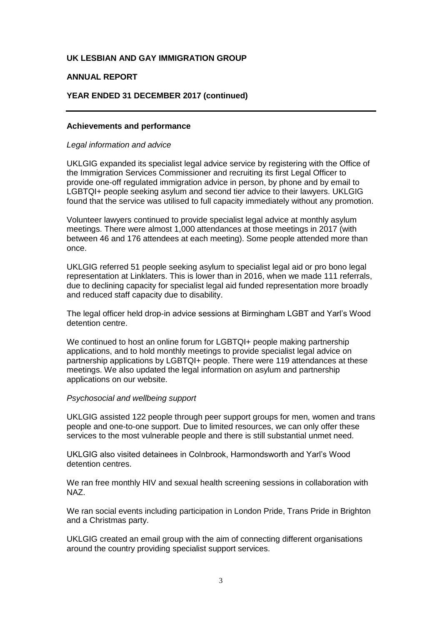## **ANNUAL REPORT**

## **YEAR ENDED 31 DECEMBER 2017 (continued)**

#### **Achievements and performance**

#### *Legal information and advice*

UKLGIG expanded its specialist legal advice service by registering with the Office of the Immigration Services Commissioner and recruiting its first Legal Officer to provide one-off regulated immigration advice in person, by phone and by email to LGBTQI+ people seeking asylum and second tier advice to their lawyers. UKLGIG found that the service was utilised to full capacity immediately without any promotion.

Volunteer lawyers continued to provide specialist legal advice at monthly asylum meetings. There were almost 1,000 attendances at those meetings in 2017 (with between 46 and 176 attendees at each meeting). Some people attended more than once.

UKLGIG referred 51 people seeking asylum to specialist legal aid or pro bono legal representation at Linklaters. This is lower than in 2016, when we made 111 referrals, due to declining capacity for specialist legal aid funded representation more broadly and reduced staff capacity due to disability.

The legal officer held drop-in advice sessions at Birmingham LGBT and Yarl's Wood detention centre.

We continued to host an online forum for LGBTQI+ people making partnership applications, and to hold monthly meetings to provide specialist legal advice on partnership applications by LGBTQI+ people. There were 119 attendances at these meetings. We also updated the legal information on asylum and partnership applications on our website.

#### *Psychosocial and wellbeing support*

UKLGIG assisted 122 people through peer support groups for men, women and trans people and one-to-one support. Due to limited resources, we can only offer these services to the most vulnerable people and there is still substantial unmet need.

UKLGIG also visited detainees in Colnbrook, Harmondsworth and Yarl's Wood detention centres.

We ran free monthly HIV and sexual health screening sessions in collaboration with NAZ.

We ran social events including participation in London Pride, Trans Pride in Brighton and a Christmas party.

UKLGIG created an email group with the aim of connecting different organisations around the country providing specialist support services.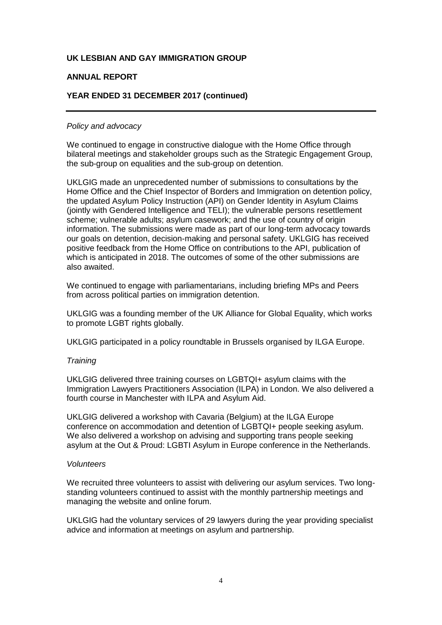## **ANNUAL REPORT**

## **YEAR ENDED 31 DECEMBER 2017 (continued)**

#### *Policy and advocacy*

We continued to engage in constructive dialogue with the Home Office through bilateral meetings and stakeholder groups such as the Strategic Engagement Group, the sub-group on equalities and the sub-group on detention.

UKLGIG made an unprecedented number of submissions to consultations by the Home Office and the Chief Inspector of Borders and Immigration on detention policy, the updated Asylum Policy Instruction (API) on Gender Identity in Asylum Claims (jointly with Gendered Intelligence and TELI); the vulnerable persons resettlement scheme; vulnerable adults; asylum casework; and the use of country of origin information. The submissions were made as part of our long-term advocacy towards our goals on detention, decision-making and personal safety. UKLGIG has received positive feedback from the Home Office on contributions to the API, publication of which is anticipated in 2018. The outcomes of some of the other submissions are also awaited.

We continued to engage with parliamentarians, including briefing MPs and Peers from across political parties on immigration detention.

UKLGIG was a founding member of the UK Alliance for Global Equality, which works to promote LGBT rights globally.

UKLGIG participated in a policy roundtable in Brussels organised by ILGA Europe.

#### *Training*

UKLGIG delivered three training courses on LGBTQI+ asylum claims with the Immigration Lawyers Practitioners Association (ILPA) in London. We also delivered a fourth course in Manchester with ILPA and Asylum Aid.

UKLGIG delivered a workshop with Cavaria (Belgium) at the ILGA Europe conference on accommodation and detention of LGBTQI+ people seeking asylum. We also delivered a workshop on advising and supporting trans people seeking asylum at the Out & Proud: LGBTI Asylum in Europe conference in the Netherlands.

#### *Volunteers*

We recruited three volunteers to assist with delivering our asylum services. Two longstanding volunteers continued to assist with the monthly partnership meetings and managing the website and online forum.

UKLGIG had the voluntary services of 29 lawyers during the year providing specialist advice and information at meetings on asylum and partnership.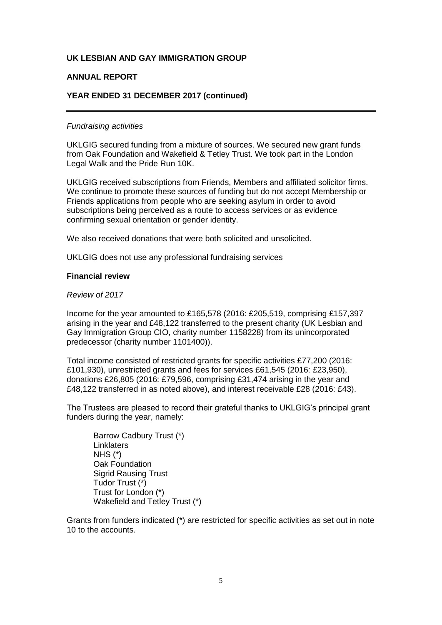## **ANNUAL REPORT**

## **YEAR ENDED 31 DECEMBER 2017 (continued)**

#### *Fundraising activities*

UKLGIG secured funding from a mixture of sources. We secured new grant funds from Oak Foundation and Wakefield & Tetley Trust. We took part in the London Legal Walk and the Pride Run 10K.

UKLGIG received subscriptions from Friends, Members and affiliated solicitor firms. We continue to promote these sources of funding but do not accept Membership or Friends applications from people who are seeking asylum in order to avoid subscriptions being perceived as a route to access services or as evidence confirming sexual orientation or gender identity.

We also received donations that were both solicited and unsolicited.

UKLGIG does not use any professional fundraising services

#### **Financial review**

#### *Review of 2017*

Income for the year amounted to £165,578 (2016: £205,519, comprising £157,397 arising in the year and £48,122 transferred to the present charity (UK Lesbian and Gay Immigration Group CIO, charity number 1158228) from its unincorporated predecessor (charity number 1101400)).

Total income consisted of restricted grants for specific activities £77,200 (2016: £101,930), unrestricted grants and fees for services £61,545 (2016: £23,950), donations £26,805 (2016: £79,596, comprising £31,474 arising in the year and £48,122 transferred in as noted above), and interest receivable £28 (2016: £43).

The Trustees are pleased to record their grateful thanks to UKLGIG's principal grant funders during the year, namely:

Barrow Cadbury Trust (\*) **Linklaters** NHS (\*) Oak Foundation Sigrid Rausing Trust Tudor Trust (\*) Trust for London (\*) Wakefield and Tetley Trust (\*)

Grants from funders indicated (\*) are restricted for specific activities as set out in note 10 to the accounts.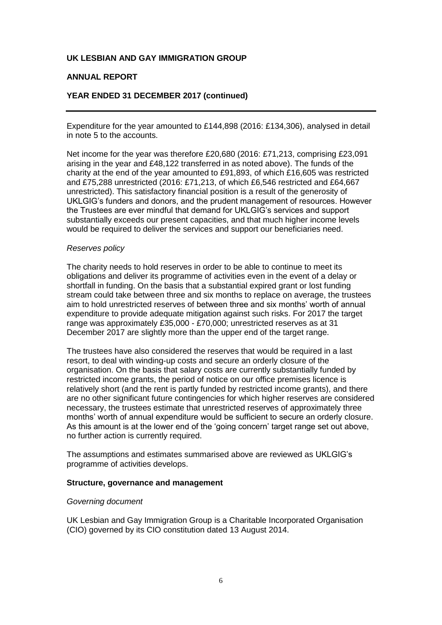## **ANNUAL REPORT**

## **YEAR ENDED 31 DECEMBER 2017 (continued)**

Expenditure for the year amounted to £144,898 (2016: £134,306), analysed in detail in note 5 to the accounts.

Net income for the year was therefore £20,680 (2016: £71,213, comprising £23,091 arising in the year and £48,122 transferred in as noted above). The funds of the charity at the end of the year amounted to £91,893, of which £16,605 was restricted and £75,288 unrestricted (2016: £71,213, of which £6,546 restricted and £64,667 unrestricted). This satisfactory financial position is a result of the generosity of UKLGIG's funders and donors, and the prudent management of resources. However the Trustees are ever mindful that demand for UKLGIG's services and support substantially exceeds our present capacities, and that much higher income levels would be required to deliver the services and support our beneficiaries need.

#### *Reserves policy*

The charity needs to hold reserves in order to be able to continue to meet its obligations and deliver its programme of activities even in the event of a delay or shortfall in funding. On the basis that a substantial expired grant or lost funding stream could take between three and six months to replace on average, the trustees aim to hold unrestricted reserves of between three and six months' worth of annual expenditure to provide adequate mitigation against such risks. For 2017 the target range was approximately £35,000 - £70,000; unrestricted reserves as at 31 December 2017 are slightly more than the upper end of the target range.

The trustees have also considered the reserves that would be required in a last resort, to deal with winding-up costs and secure an orderly closure of the organisation. On the basis that salary costs are currently substantially funded by restricted income grants, the period of notice on our office premises licence is relatively short (and the rent is partly funded by restricted income grants), and there are no other significant future contingencies for which higher reserves are considered necessary, the trustees estimate that unrestricted reserves of approximately three months' worth of annual expenditure would be sufficient to secure an orderly closure. As this amount is at the lower end of the 'going concern' target range set out above, no further action is currently required.

The assumptions and estimates summarised above are reviewed as UKLGIG's programme of activities develops.

#### **Structure, governance and management**

#### *Governing document*

UK Lesbian and Gay Immigration Group is a Charitable Incorporated Organisation (CIO) governed by its CIO constitution dated 13 August 2014.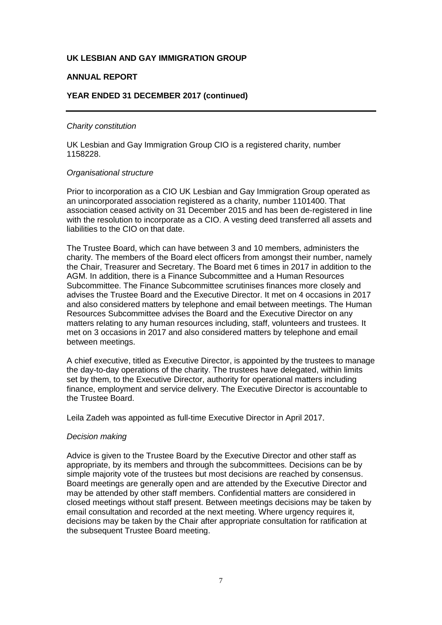## **ANNUAL REPORT**

## **YEAR ENDED 31 DECEMBER 2017 (continued)**

#### *Charity constitution*

UK Lesbian and Gay Immigration Group CIO is a registered charity, number 1158228.

#### *Organisational structure*

Prior to incorporation as a CIO UK Lesbian and Gay Immigration Group operated as an unincorporated association registered as a charity, number 1101400. That association ceased activity on 31 December 2015 and has been de-registered in line with the resolution to incorporate as a CIO. A vesting deed transferred all assets and liabilities to the CIO on that date.

The Trustee Board, which can have between 3 and 10 members, administers the charity. The members of the Board elect officers from amongst their number, namely the Chair, Treasurer and Secretary. The Board met 6 times in 2017 in addition to the AGM. In addition, there is a Finance Subcommittee and a Human Resources Subcommittee. The Finance Subcommittee scrutinises finances more closely and advises the Trustee Board and the Executive Director. It met on 4 occasions in 2017 and also considered matters by telephone and email between meetings. The Human Resources Subcommittee advises the Board and the Executive Director on any matters relating to any human resources including, staff, volunteers and trustees. It met on 3 occasions in 2017 and also considered matters by telephone and email between meetings.

A chief executive, titled as Executive Director, is appointed by the trustees to manage the day-to-day operations of the charity. The trustees have delegated, within limits set by them, to the Executive Director, authority for operational matters including finance, employment and service delivery. The Executive Director is accountable to the Trustee Board.

Leila Zadeh was appointed as full-time Executive Director in April 2017.

#### *Decision making*

Advice is given to the Trustee Board by the Executive Director and other staff as appropriate, by its members and through the subcommittees. Decisions can be by simple majority vote of the trustees but most decisions are reached by consensus. Board meetings are generally open and are attended by the Executive Director and may be attended by other staff members. Confidential matters are considered in closed meetings without staff present. Between meetings decisions may be taken by email consultation and recorded at the next meeting. Where urgency requires it, decisions may be taken by the Chair after appropriate consultation for ratification at the subsequent Trustee Board meeting.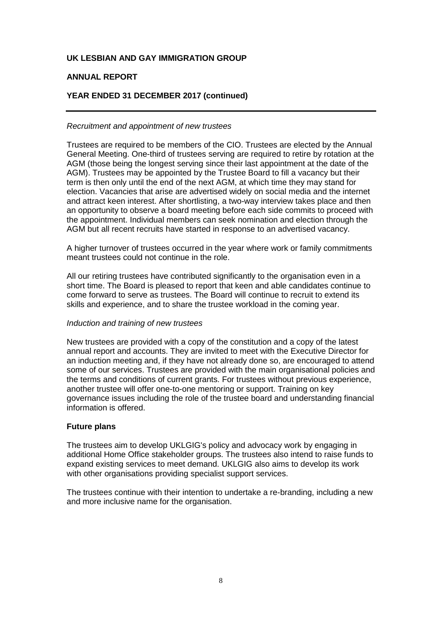## **ANNUAL REPORT**

## **YEAR ENDED 31 DECEMBER 2017 (continued)**

#### *Recruitment and appointment of new trustees*

Trustees are required to be members of the CIO. Trustees are elected by the Annual General Meeting. One-third of trustees serving are required to retire by rotation at the AGM (those being the longest serving since their last appointment at the date of the AGM). Trustees may be appointed by the Trustee Board to fill a vacancy but their term is then only until the end of the next AGM, at which time they may stand for election. Vacancies that arise are advertised widely on social media and the internet and attract keen interest. After shortlisting, a two-way interview takes place and then an opportunity to observe a board meeting before each side commits to proceed with the appointment. Individual members can seek nomination and election through the AGM but all recent recruits have started in response to an advertised vacancy.

A higher turnover of trustees occurred in the year where work or family commitments meant trustees could not continue in the role.

All our retiring trustees have contributed significantly to the organisation even in a short time. The Board is pleased to report that keen and able candidates continue to come forward to serve as trustees. The Board will continue to recruit to extend its skills and experience, and to share the trustee workload in the coming year.

#### *Induction and training of new trustees*

New trustees are provided with a copy of the constitution and a copy of the latest annual report and accounts. They are invited to meet with the Executive Director for an induction meeting and, if they have not already done so, are encouraged to attend some of our services. Trustees are provided with the main organisational policies and the terms and conditions of current grants. For trustees without previous experience, another trustee will offer one-to-one mentoring or support. Training on key governance issues including the role of the trustee board and understanding financial information is offered.

#### **Future plans**

The trustees aim to develop UKLGIG's policy and advocacy work by engaging in additional Home Office stakeholder groups. The trustees also intend to raise funds to expand existing services to meet demand. UKLGIG also aims to develop its work with other organisations providing specialist support services.

The trustees continue with their intention to undertake a re-branding, including a new and more inclusive name for the organisation.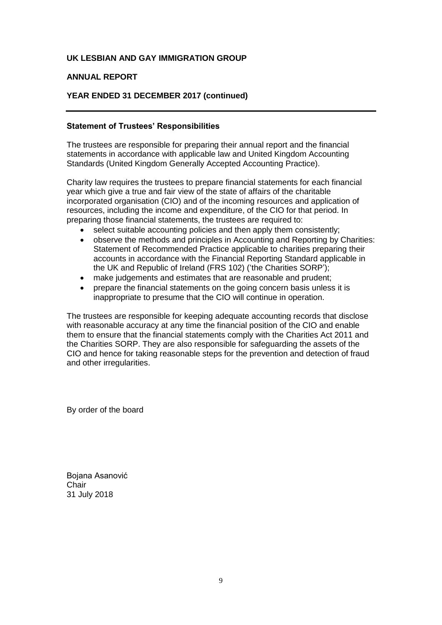## **ANNUAL REPORT**

## **YEAR ENDED 31 DECEMBER 2017 (continued)**

## **Statement of Trustees' Responsibilities**

The trustees are responsible for preparing their annual report and the financial statements in accordance with applicable law and United Kingdom Accounting Standards (United Kingdom Generally Accepted Accounting Practice).

Charity law requires the trustees to prepare financial statements for each financial year which give a true and fair view of the state of affairs of the charitable incorporated organisation (CIO) and of the incoming resources and application of resources, including the income and expenditure, of the CIO for that period. In preparing those financial statements, the trustees are required to:

- select suitable accounting policies and then apply them consistently;
- observe the methods and principles in Accounting and Reporting by Charities: Statement of Recommended Practice applicable to charities preparing their accounts in accordance with the Financial Reporting Standard applicable in the UK and Republic of Ireland (FRS 102) ('the Charities SORP');
- make judgements and estimates that are reasonable and prudent;
- prepare the financial statements on the going concern basis unless it is inappropriate to presume that the CIO will continue in operation.

The trustees are responsible for keeping adequate accounting records that disclose with reasonable accuracy at any time the financial position of the CIO and enable them to ensure that the financial statements comply with the Charities Act 2011 and the Charities SORP. They are also responsible for safeguarding the assets of the CIO and hence for taking reasonable steps for the prevention and detection of fraud and other irregularities.

By order of the board

Bojana Asanović **Chair** 31 July 2018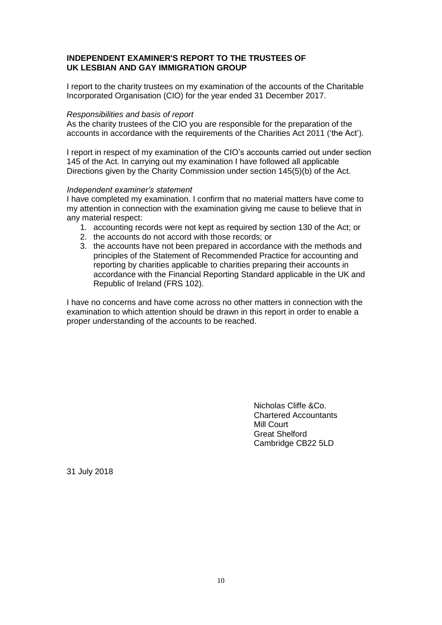## **INDEPENDENT EXAMINER'S REPORT TO THE TRUSTEES OF UK LESBIAN AND GAY IMMIGRATION GROUP**

I report to the charity trustees on my examination of the accounts of the Charitable Incorporated Organisation (CIO) for the year ended 31 December 2017.

#### *Responsibilities and basis of report*

As the charity trustees of the CIO you are responsible for the preparation of the accounts in accordance with the requirements of the Charities Act 2011 ('the Act').

I report in respect of my examination of the CIO's accounts carried out under section 145 of the Act. In carrying out my examination I have followed all applicable Directions given by the Charity Commission under section 145(5)(b) of the Act.

#### *Independent examiner's statement*

I have completed my examination. I confirm that no material matters have come to my attention in connection with the examination giving me cause to believe that in any material respect:

- 1. accounting records were not kept as required by section 130 of the Act; or
- 2. the accounts do not accord with those records; or
- 3. the accounts have not been prepared in accordance with the methods and principles of the Statement of Recommended Practice for accounting and reporting by charities applicable to charities preparing their accounts in accordance with the Financial Reporting Standard applicable in the UK and Republic of Ireland (FRS 102).

I have no concerns and have come across no other matters in connection with the examination to which attention should be drawn in this report in order to enable a proper understanding of the accounts to be reached.

> Nicholas Cliffe &Co. Chartered Accountants Mill Court Great Shelford Cambridge CB22 5LD

31 July 2018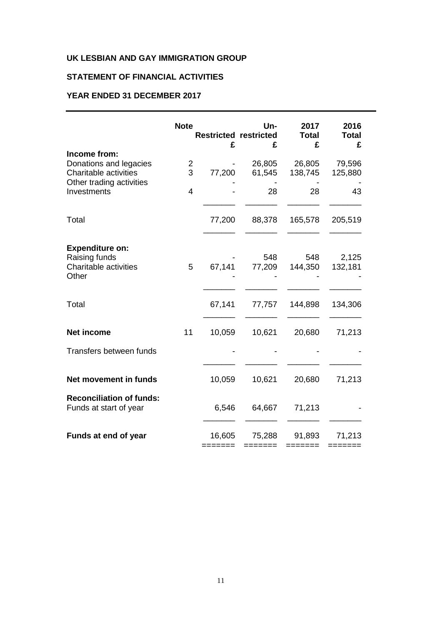## **STATEMENT OF FINANCIAL ACTIVITIES**

## **YEAR ENDED 31 DECEMBER 2017**

|                                                                                  | <b>Note</b>    | <b>Restricted restricted</b><br>£ | Un-<br>£         | 2017<br><b>Total</b><br>£ | 2016<br><b>Total</b><br>£ |
|----------------------------------------------------------------------------------|----------------|-----------------------------------|------------------|---------------------------|---------------------------|
| Income from:<br>Donations and legacies<br>Charitable activities                  | 2<br>3         | 77,200                            | 26,805<br>61,545 | 26,805<br>138,745         | 79,596<br>125,880         |
| Other trading activities<br>Investments                                          | $\overline{4}$ |                                   | 28               | 28                        | 43                        |
| Total                                                                            |                | 77,200                            | 88,378           | 165,578                   | 205,519                   |
| <b>Expenditure on:</b><br>Raising funds<br><b>Charitable activities</b><br>Other | 5              | 67,141                            | 548<br>77,209    | 548<br>144,350            | 2,125<br>132,181          |
| Total                                                                            |                | 67,141                            | 77,757           | 144,898                   | 134,306                   |
| <b>Net income</b>                                                                | 11             | 10,059                            | 10,621           | 20,680                    | 71,213                    |
| Transfers between funds                                                          |                |                                   |                  |                           |                           |
| Net movement in funds                                                            |                | 10,059                            | 10,621           | 20,680                    | 71,213                    |
| <b>Reconciliation of funds:</b><br>Funds at start of year                        |                | 6,546                             | 64,667           | 71,213                    |                           |
| Funds at end of year                                                             |                | 16,605                            | 75,288           | 91,893                    | 71,213                    |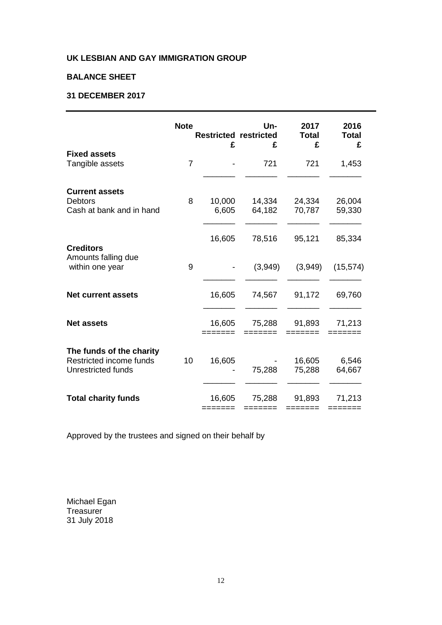## **BALANCE SHEET**

## **31 DECEMBER 2017**

|                                                                                  | <b>Note</b>    | <b>Restricted restricted</b><br>£ | Un-<br>£         | 2017<br><b>Total</b><br>£ | 2016<br>Total<br>£ |
|----------------------------------------------------------------------------------|----------------|-----------------------------------|------------------|---------------------------|--------------------|
| <b>Fixed assets</b><br>Tangible assets                                           | $\overline{7}$ |                                   | 721              | 721                       | 1,453              |
| <b>Current assets</b><br><b>Debtors</b><br>Cash at bank and in hand              | 8              | 10,000<br>6,605                   | 14,334<br>64,182 | 24,334<br>70,787          | 26,004<br>59,330   |
| <b>Creditors</b>                                                                 |                | 16,605                            | 78,516           | 95,121                    | 85,334             |
| Amounts falling due<br>within one year                                           | 9              |                                   | (3,949)          | (3,949)                   | (15, 574)          |
| <b>Net current assets</b>                                                        |                | 16,605                            | 74,567           | 91,172                    | 69,760             |
| <b>Net assets</b>                                                                |                | 16,605                            | 75,288           | 91,893                    | 71,213             |
| The funds of the charity<br>Restricted income funds<br><b>Unrestricted funds</b> | 10             | 16,605                            | 75,288           | 16,605<br>75,288          | 6,546<br>64,667    |
| <b>Total charity funds</b>                                                       |                | 16,605                            | 75,288           | 91,893                    | 71,213             |

Approved by the trustees and signed on their behalf by

Michael Egan Treasurer 31 July 2018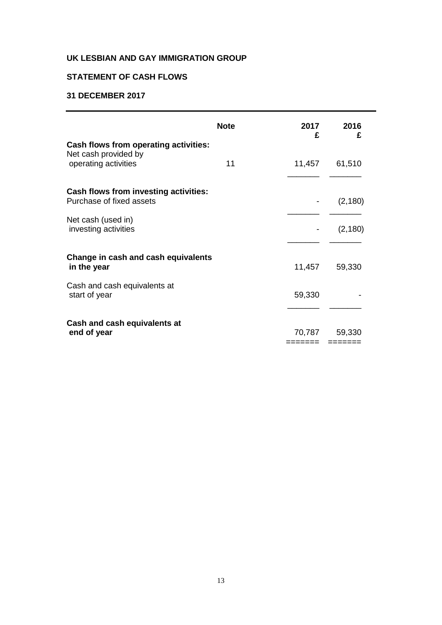## **STATEMENT OF CASH FLOWS**

## **31 DECEMBER 2017**

|                                                                                                                        | <b>Note</b> | 2017<br>£        | 2016<br>£            |
|------------------------------------------------------------------------------------------------------------------------|-------------|------------------|----------------------|
| Cash flows from operating activities:<br>Net cash provided by<br>operating activities                                  | 11          | 11,457           | 61,510               |
| <b>Cash flows from investing activities:</b><br>Purchase of fixed assets<br>Net cash (used in)<br>investing activities |             |                  | (2, 180)<br>(2, 180) |
| Change in cash and cash equivalents<br>in the year<br>Cash and cash equivalents at<br>start of year                    |             | 11,457<br>59,330 | 59,330               |
| Cash and cash equivalents at<br>end of year                                                                            |             | 70,787           | 59,330               |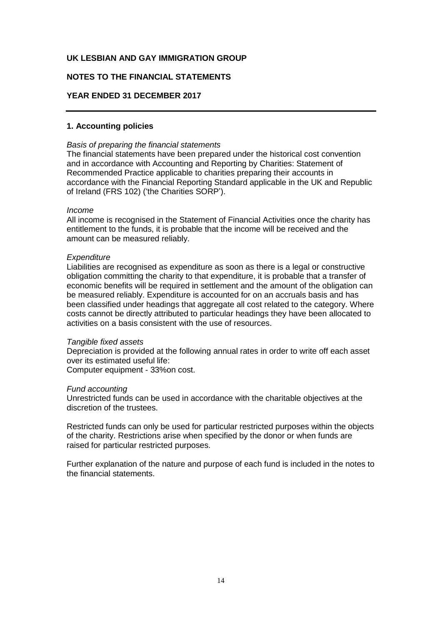## **NOTES TO THE FINANCIAL STATEMENTS**

### **YEAR ENDED 31 DECEMBER 2017**

## **1. Accounting policies**

#### *Basis of preparing the financial statements*

The financial statements have been prepared under the historical cost convention and in accordance with Accounting and Reporting by Charities: Statement of Recommended Practice applicable to charities preparing their accounts in accordance with the Financial Reporting Standard applicable in the UK and Republic of Ireland (FRS 102) ('the Charities SORP').

#### *Income*

All income is recognised in the Statement of Financial Activities once the charity has entitlement to the funds, it is probable that the income will be received and the amount can be measured reliably.

#### *Expenditure*

Liabilities are recognised as expenditure as soon as there is a legal or constructive obligation committing the charity to that expenditure, it is probable that a transfer of economic benefits will be required in settlement and the amount of the obligation can be measured reliably. Expenditure is accounted for on an accruals basis and has been classified under headings that aggregate all cost related to the category. Where costs cannot be directly attributed to particular headings they have been allocated to activities on a basis consistent with the use of resources.

#### *Tangible fixed assets*

Depreciation is provided at the following annual rates in order to write off each asset over its estimated useful life:

Computer equipment - 33%on cost.

#### *Fund accounting*

Unrestricted funds can be used in accordance with the charitable objectives at the discretion of the trustees.

Restricted funds can only be used for particular restricted purposes within the objects of the charity. Restrictions arise when specified by the donor or when funds are raised for particular restricted purposes.

Further explanation of the nature and purpose of each fund is included in the notes to the financial statements.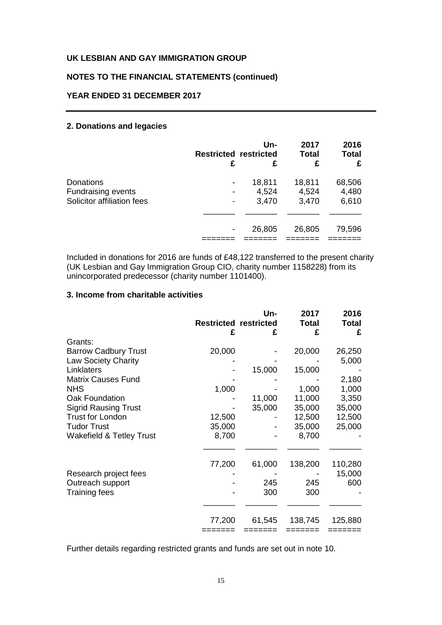## **NOTES TO THE FINANCIAL STATEMENTS (continued)**

## **YEAR ENDED 31 DECEMBER 2017**

## **2. Donations and legacies**

|                                                                      | <b>Restricted restricted</b><br>£ | Un-<br>£                 | 2017<br><b>Total</b><br>£ | 2016<br><b>Total</b><br>£ |
|----------------------------------------------------------------------|-----------------------------------|--------------------------|---------------------------|---------------------------|
| Donations<br><b>Fundraising events</b><br>Solicitor affiliation fees | -                                 | 18,811<br>4,524<br>3,470 | 18,811<br>4,524<br>3,470  | 68,506<br>4,480<br>6,610  |
|                                                                      |                                   | 26,805                   | 26,805                    | 79,596                    |

Included in donations for 2016 are funds of £48,122 transferred to the present charity (UK Lesbian and Gay Immigration Group CIO, charity number 1158228) from its unincorporated predecessor (charity number 1101400).

### **3. Income from charitable activities**

|                                     | <b>Restricted restricted</b><br>£ | Un-<br>£ | 2017<br><b>Total</b><br>£ | 2016<br><b>Total</b><br>£ |
|-------------------------------------|-----------------------------------|----------|---------------------------|---------------------------|
| Grants:                             |                                   |          |                           |                           |
| <b>Barrow Cadbury Trust</b>         | 20,000                            |          | 20,000                    | 26,250                    |
| <b>Law Society Charity</b>          |                                   |          |                           | 5,000                     |
| Linklaters                          |                                   | 15,000   | 15,000                    |                           |
| <b>Matrix Causes Fund</b>           |                                   |          |                           | 2,180                     |
| <b>NHS</b>                          | 1,000                             |          | 1,000                     | 1,000                     |
| Oak Foundation                      |                                   | 11,000   | 11,000                    | 3,350                     |
| <b>Sigrid Rausing Trust</b>         |                                   | 35,000   | 35,000                    | 35,000                    |
| <b>Trust for London</b>             | 12,500                            |          | 12,500                    | 12,500                    |
| <b>Tudor Trust</b>                  | 35,000                            |          | 35,000                    | 25,000                    |
| <b>Wakefield &amp; Tetley Trust</b> | 8,700                             |          | 8,700                     |                           |
|                                     | 77,200                            | 61,000   | 138,200                   | 110,280                   |
| Research project fees               |                                   |          |                           | 15,000                    |
| Outreach support                    |                                   | 245      | 245                       | 600                       |
| Training fees                       |                                   | 300      | 300                       |                           |
|                                     | 77,200                            | 61,545   | 138,745                   | 125,880                   |
|                                     |                                   |          |                           |                           |

Further details regarding restricted grants and funds are set out in note 10.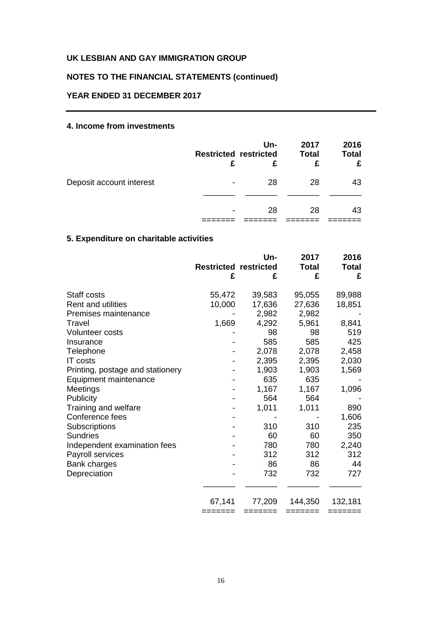## **NOTES TO THE FINANCIAL STATEMENTS (continued)**

## **YEAR ENDED 31 DECEMBER 2017**

## **4. Income from investments**

|                          | <b>Restricted restricted</b><br>£ | Un-<br>£ | 2017<br><b>Total</b><br>£ | 2016<br><b>Total</b> |
|--------------------------|-----------------------------------|----------|---------------------------|----------------------|
| Deposit account interest | $\overline{\phantom{0}}$          | 28       | 28                        | 43                   |
|                          |                                   |          |                           |                      |
|                          | $\overline{\phantom{0}}$          | 28       | 28                        | 43                   |
|                          |                                   |          |                           |                      |

# **5. Expenditure on charitable activities**

|                                  | <b>Restricted restricted</b><br>£ | Un-<br>£ | 2017<br><b>Total</b><br>£ | 2016<br><b>Total</b><br>£ |
|----------------------------------|-----------------------------------|----------|---------------------------|---------------------------|
| Staff costs                      | 55,472                            | 39,583   | 95,055                    | 89,988                    |
| <b>Rent and utilities</b>        | 10,000                            | 17,636   | 27,636                    | 18,851                    |
| Premises maintenance             |                                   | 2,982    | 2,982                     |                           |
| Travel                           | 1,669                             | 4,292    | 5,961                     | 8,841                     |
| <b>Volunteer costs</b>           |                                   | 98       | 98                        | 519                       |
| Insurance                        |                                   | 585      | 585                       | 425                       |
| Telephone                        |                                   | 2,078    | 2,078                     | 2,458                     |
| <b>IT</b> costs                  |                                   | 2,395    | 2,395                     | 2,030                     |
| Printing, postage and stationery |                                   | 1,903    | 1,903                     | 1,569                     |
| Equipment maintenance            |                                   | 635      | 635                       |                           |
| Meetings                         |                                   | 1,167    | 1,167                     | 1,096                     |
| Publicity                        |                                   | 564      | 564                       |                           |
| Training and welfare             |                                   | 1,011    | 1,011                     | 890                       |
| Conference fees                  |                                   |          |                           | 1,606                     |
| Subscriptions                    |                                   | 310      | 310                       | 235                       |
| <b>Sundries</b>                  |                                   | 60       | 60                        | 350                       |
| Independent examination fees     |                                   | 780      | 780                       | 2,240                     |
| Payroll services                 |                                   | 312      | 312                       | 312                       |
| Bank charges                     |                                   | 86       | 86                        | 44                        |
| Depreciation                     |                                   | 732      | 732                       | 727                       |
|                                  | 67,141                            | 77,209   | 144,350                   | 132,181                   |
|                                  | ======                            |          |                           | =======                   |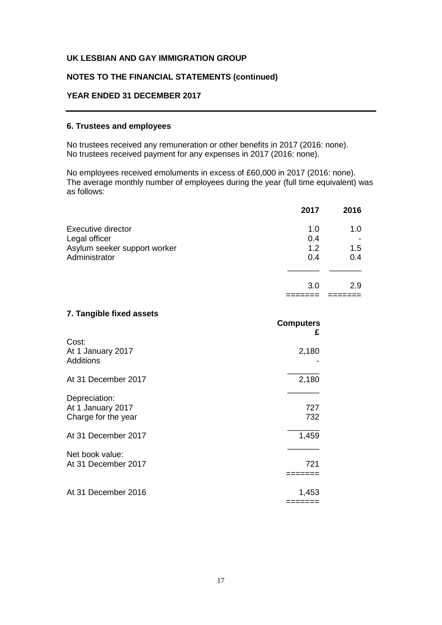## **NOTES TO THE FINANCIAL STATEMENTS (continued)**

## **YEAR ENDED 31 DECEMBER 2017**

## **6. Trustees and employees**

No trustees received any remuneration or other benefits in 2017 (2016: none). No trustees received payment for any expenses in 2017 (2016: none).

No employees received emoluments in excess of £60,000 in 2017 (2016: none). The average monthly number of employees during the year (full time equivalent) was as follows:

|                              | 2017 | 2016 |
|------------------------------|------|------|
| Executive director           | 1.0  | 1.0  |
| Legal officer                | 0.4  | $\,$ |
| Asylum seeker support worker | 1.2  | 1.5  |
| Administrator                | 0.4  | 0.4  |
|                              |      |      |
|                              | 3.0  | 2.9  |
|                              |      |      |

**Computers**

### **7. Tangible fixed assets**

|                                                                                  | £                   |
|----------------------------------------------------------------------------------|---------------------|
| Cost:<br>At 1 January 2017<br><b>Additions</b>                                   | 2,180               |
| At 31 December 2017                                                              | 2,180               |
| Depreciation:<br>At 1 January 2017<br>Charge for the year<br>At 31 December 2017 | 727<br>732<br>1,459 |
| Net book value:<br>At 31 December 2017                                           | 721                 |
| At 31 December 2016                                                              | 1,453<br>:=====     |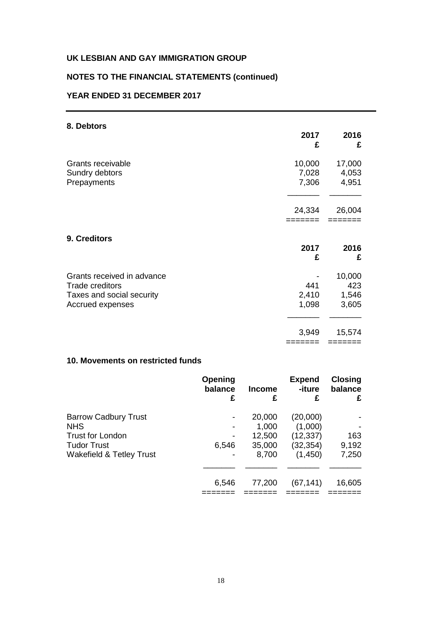## **NOTES TO THE FINANCIAL STATEMENTS (continued)**

## **YEAR ENDED 31 DECEMBER 2017**

| 8. Debtors                                                                                            |                          |                                 |
|-------------------------------------------------------------------------------------------------------|--------------------------|---------------------------------|
|                                                                                                       | 2017<br>£                | 2016<br>£                       |
| Grants receivable<br>Sundry debtors<br>Prepayments                                                    | 10,000<br>7,028<br>7,306 | 17,000<br>4,053<br>4,951        |
|                                                                                                       | 24,334                   | 26,004                          |
| 9. Creditors                                                                                          |                          |                                 |
|                                                                                                       | 2017<br>£                | 2016<br>£                       |
| Grants received in advance<br><b>Trade creditors</b><br>Taxes and social security<br>Accrued expenses | 441<br>2,410<br>1,098    | 10,000<br>423<br>1,546<br>3,605 |
|                                                                                                       | 3,949<br>=======         | 15,574<br>=======               |

## **10. Movements on restricted funds**

|                                     | Opening<br>balance<br>£ | <b>Income</b><br>£ | <b>Expend</b><br>-iture<br>£ | <b>Closing</b><br>balance<br>£ |
|-------------------------------------|-------------------------|--------------------|------------------------------|--------------------------------|
| <b>Barrow Cadbury Trust</b>         |                         | 20,000             | (20,000)                     |                                |
| <b>NHS</b>                          |                         | 1,000              | (1,000)                      |                                |
| Trust for London                    |                         | 12,500             | (12, 337)                    | 163                            |
| <b>Tudor Trust</b>                  | 6,546                   | 35,000             | (32, 354)                    | 9,192                          |
| <b>Wakefield &amp; Tetley Trust</b> |                         | 8,700              | (1,450)                      | 7,250                          |
|                                     | 6,546                   | 77,200             | (67, 141)                    | 16,605                         |
|                                     |                         |                    |                              |                                |